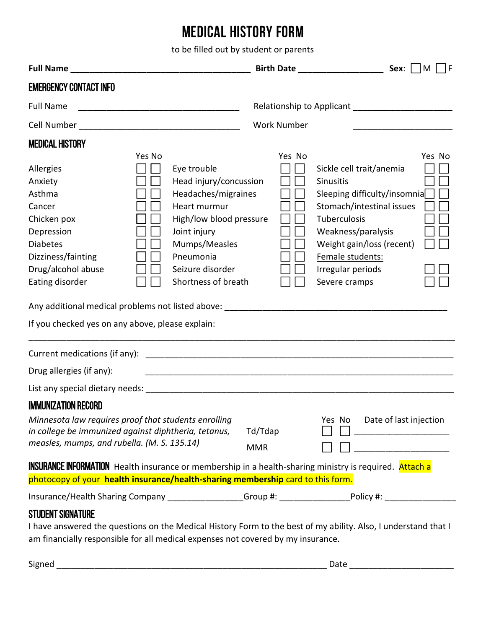## **MEDICAL HISTORY FORM**

to be filled out by student or parents

|                                                                                                                                                                                                                                |                                                                                                                                                                                                  |                       | Birth Date ___________________<br>Sex:<br>M                                                                                                                                                                                     |  |  |  |  |  |
|--------------------------------------------------------------------------------------------------------------------------------------------------------------------------------------------------------------------------------|--------------------------------------------------------------------------------------------------------------------------------------------------------------------------------------------------|-----------------------|---------------------------------------------------------------------------------------------------------------------------------------------------------------------------------------------------------------------------------|--|--|--|--|--|
| <b>EMERGENCY CONTACT INFO</b>                                                                                                                                                                                                  |                                                                                                                                                                                                  |                       |                                                                                                                                                                                                                                 |  |  |  |  |  |
| <b>Full Name</b>                                                                                                                                                                                                               |                                                                                                                                                                                                  |                       |                                                                                                                                                                                                                                 |  |  |  |  |  |
|                                                                                                                                                                                                                                |                                                                                                                                                                                                  | <b>Work Number</b>    |                                                                                                                                                                                                                                 |  |  |  |  |  |
| <b>MEDICAL HISTORY</b>                                                                                                                                                                                                         | Yes No                                                                                                                                                                                           | Yes No                | Yes No                                                                                                                                                                                                                          |  |  |  |  |  |
| Allergies<br>Anxiety<br>Asthma<br>Cancer<br>Chicken pox<br>Depression<br><b>Diabetes</b><br>Dizziness/fainting<br>Drug/alcohol abuse<br>Eating disorder<br>If you checked yes on any above, please explain:                    | Eye trouble<br>Head injury/concussion<br>Headaches/migraines<br>Heart murmur<br>High/low blood pressure<br>Joint injury<br>Mumps/Measles<br>Pneumonia<br>Seizure disorder<br>Shortness of breath |                       | Sickle cell trait/anemia<br>Sinusitis<br>Sleeping difficulty/insomnia<br>Stomach/intestinal issues<br>Tuberculosis<br>Weakness/paralysis<br>Weight gain/loss (recent)<br>Female students:<br>Irregular periods<br>Severe cramps |  |  |  |  |  |
|                                                                                                                                                                                                                                |                                                                                                                                                                                                  |                       |                                                                                                                                                                                                                                 |  |  |  |  |  |
| Drug allergies (if any):                                                                                                                                                                                                       |                                                                                                                                                                                                  |                       |                                                                                                                                                                                                                                 |  |  |  |  |  |
|                                                                                                                                                                                                                                |                                                                                                                                                                                                  |                       | List any special dietary needs: Notified a state of the state of the state of the state of the state of the state of the state of the state of the state of the state of the state of the state of the state of the state of t  |  |  |  |  |  |
| <b>IMMUNIZATION RECORD</b><br>Minnesota law requires proof that students enrolling<br>in college be immunized against diphtheria, tetanus,<br>measles, mumps, and rubella. (M. S. 135.14)                                      |                                                                                                                                                                                                  | Td/Tdap<br><b>MMR</b> | Yes No<br>Date of last injection                                                                                                                                                                                                |  |  |  |  |  |
| <b>INSURANCE INFORMATION</b> Health insurance or membership in a health-sharing ministry is required. Attach a<br>photocopy of your health insurance/health-sharing membership card to this form.                              |                                                                                                                                                                                                  |                       |                                                                                                                                                                                                                                 |  |  |  |  |  |
|                                                                                                                                                                                                                                |                                                                                                                                                                                                  |                       | Insurance/Health Sharing Company _______________Group #: __________________Policy #: _______________                                                                                                                            |  |  |  |  |  |
| <b>STUDENT SIGNATURE</b><br>I have answered the questions on the Medical History Form to the best of my ability. Also, I understand that I<br>am financially responsible for all medical expenses not covered by my insurance. |                                                                                                                                                                                                  |                       |                                                                                                                                                                                                                                 |  |  |  |  |  |

| - -<br>$\mathbf{H}$ |  |
|---------------------|--|
|                     |  |